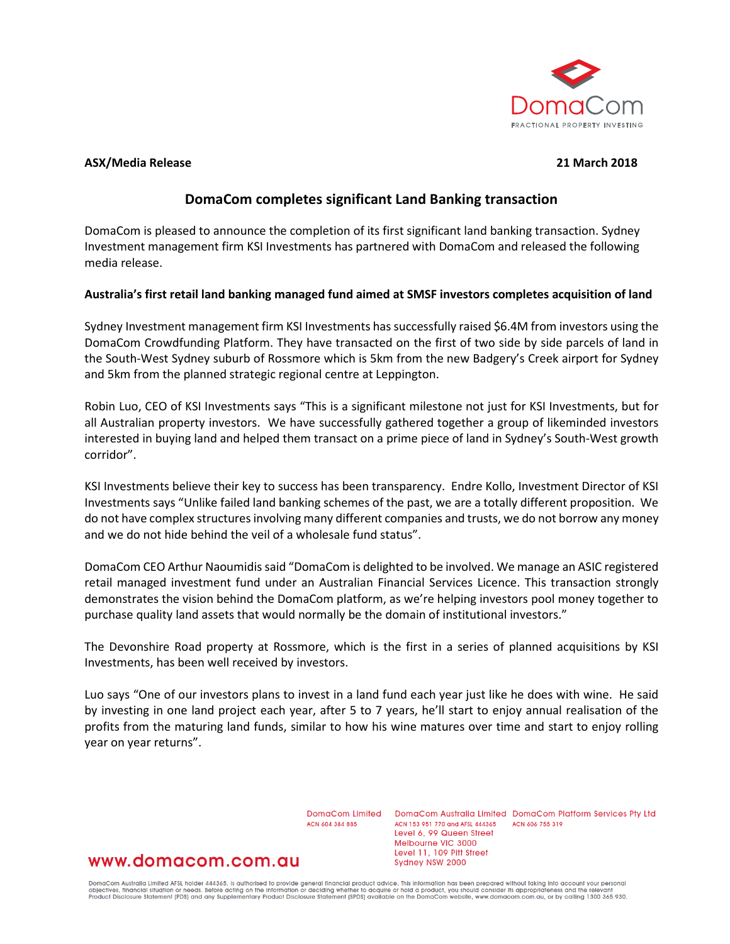

### **ASX/Media Release 21 March 2018**

# **DomaCom completes significant Land Banking transaction**

DomaCom is pleased to announce the completion of its first significant land banking transaction. Sydney Investment management firm KSI Investments has partnered with DomaCom and released the following media release.

## **Australia's first retail land banking managed fund aimed at SMSF investors completes acquisition of land**

Sydney Investment management firm KSI Investments has successfully raised \$6.4M from investors using the DomaCom Crowdfunding Platform. They have transacted on the first of two side by side parcels of land in the South-West Sydney suburb of Rossmore which is 5km from the new Badgery's Creek airport for Sydney and 5km from the planned strategic regional centre at Leppington.

Robin Luo, CEO of KSI Investments says "This is a significant milestone not just for KSI Investments, but for all Australian property investors. We have successfully gathered together a group of likeminded investors interested in buying land and helped them transact on a prime piece of land in Sydney's South-West growth corridor".

KSI Investments believe their key to success has been transparency. Endre Kollo, Investment Director of KSI Investments says "Unlike failed land banking schemes of the past, we are a totally different proposition. We do not have complex structures involving many different companies and trusts, we do not borrow any money and we do not hide behind the veil of a wholesale fund status".

DomaCom CEO Arthur Naoumidis said "DomaCom is delighted to be involved. We manage an ASIC registered retail managed investment fund under an Australian Financial Services Licence. This transaction strongly demonstrates the vision behind the DomaCom platform, as we're helping investors pool money together to purchase quality land assets that would normally be the domain of institutional investors."

The Devonshire Road property at Rossmore, which is the first in a series of planned acquisitions by KSI Investments, has been well received by investors.

Luo says "One of our investors plans to invest in a land fund each year just like he does with wine. He said by investing in one land project each year, after 5 to 7 years, he'll start to enjoy annual realisation of the profits from the maturing land funds, similar to how his wine matures over time and start to enjoy rolling year on year returns".

ACN 604 384 885

DomaCom Limited DomaCom Australia Limited DomaCom Platform Services Pty Ltd ACN 153 951 770 and AFSL 444365 ACN 606 755 319 Level 6, 99 Queen Street Melbourne VIC 3000 Level 11, 109 Pitt Street Sydney NSW 2000

# www.domacom.com.au

DomaCom Australia Limited AFSL holder 444365, is authorised to provide general financial product advice. This information has been prepared without taking into account your personal<br>objectives, financial situation or needs